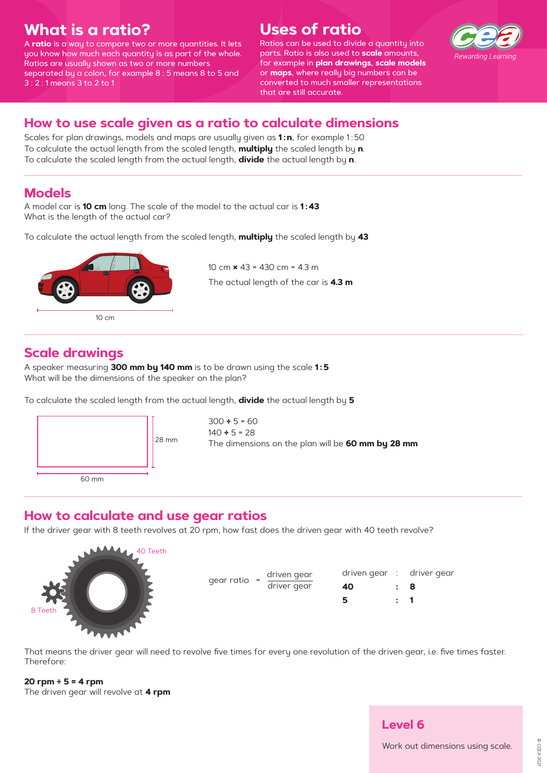## **What is a ratio?**

A **ratio** is a way to compare two or more quantities. It lets you know how much each quantity is as part of the whole. Ratios are usually shown as two or more numbers separated by a colon, for example 8 : 5 means 8 to 5 and 3 : 2 : 1 means 3 to 2 to 1

# **Uses of ratio**

Ratios can be used to divide a quantity into parts. Ratio is also used to **scale** amounts, for example in **plan drawings**, **scale models** or **maps**, where really big numbers can be converted to much smaller representations that are still accurate.



## **Scale drawings**

A speaker measuring **300 mm by 140 mm** is to be drawn using the scale **1 : 5** What will be the dimensions of the speaker on the plan?

To calculate the scaled length from the actual length, **divide** the actual length by **5**

Scales for plan drawings, models and maps are usually given as **1:n**, for example 1:50 To calculate the actual length from the scaled length, **multiply** the scaled length by **<sup>n</sup>**. To calculate the scaled length from the actual length, **divide** the actual length by **<sup>n</sup>**.

### **How to calculate and use gear ratios**

If the driver gear with 8 teeth revolves at 20 rpm, how fast does the driven gear with 40 teeth revolve?

That means the driver gear will need to revolve five times for every one revolution of the driven gear, i.e. five times faster. Therefore:

**20 rpm ÷ 5 = 4 rpm** The driven gear will revolve at **4 rpm**

### **How to use scale given as a ratio to calculate dimensions**



#### **Models**

A model car is **10 cm** long. The scale of the model to the actual car is **1 : 43** What is the length of the actual car?

To calculate the actual length from the scaled length, **multiply** the scaled length by **43**

10 cm **×** 43 = 430 cm = 4.3 mThe actual length of the car is **4.3 m**





Work out dimensions using scale.



gear ratio =  $\frac{driven gear}{driver gear}$  **40** 

driven gear :

:driver gear